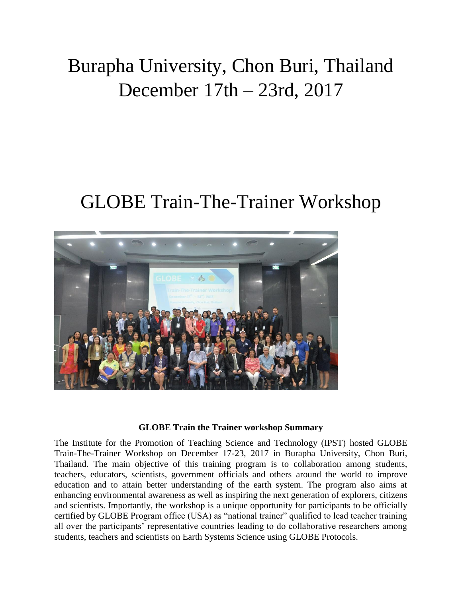## Burapha University, Chon Buri, Thailand December 17th – 23rd, 2017

## GLOBE Train-The-Trainer Workshop



## **GLOBE Train the Trainer workshop Summary**

The Institute for the Promotion of Teaching Science and Technology (IPST) hosted GLOBE Train-The-Trainer Workshop on December 17-23, 2017 in Burapha University, Chon Buri, Thailand. The main objective of this training program is to collaboration among students, teachers, educators, scientists, government officials and others around the world to improve education and to attain better understanding of the earth system. The program also aims at enhancing environmental awareness as well as inspiring the next generation of explorers, citizens and scientists. Importantly, the workshop is a unique opportunity for participants to be officially certified by GLOBE Program office (USA) as "national trainer" qualified to lead teacher training all over the participants' representative countries leading to do collaborative researchers among students, teachers and scientists on Earth Systems Science using GLOBE Protocols.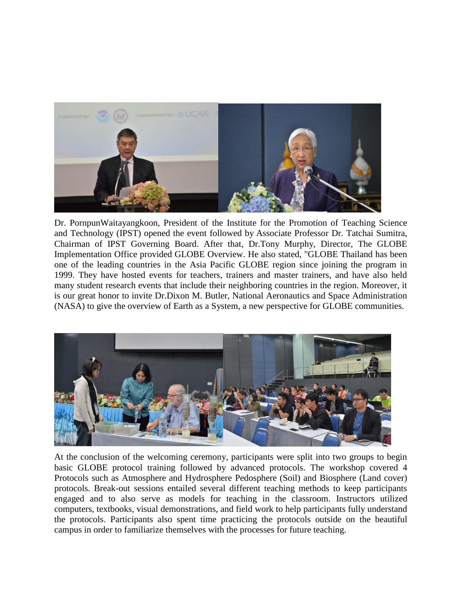

[Dr. PornpunWaitayangkoon,](https://www.globe.gov/web/pwait) President of the Institute for the Promotion of Teaching Science and Technology (IPST) opened the event followed by Associate Professor Dr. Tatchai Sumitra, Chairman of IPST Governing Board. After that, Dr.Tony Murphy, Director, The GLOBE Implementation Office provided GLOBE Overview. He also stated, "GLOBE Thailand has been one of the leading countries in the Asia Pacific GLOBE region since joining the program in 1999. They have hosted events for teachers, trainers and master trainers, and have also held many student research events that include their neighboring countries in the region. Moreover, it is our great honor to invite Dr.Dixon M. Butler, National Aeronautics and Space Administration (NASA) to give the overview of Earth as a System, a new perspective for GLOBE communities.



At the conclusion of the welcoming ceremony, participants were split into two groups to begin basic GLOBE protocol training followed by advanced protocols. The workshop covered 4 Protocols such as Atmosphere and Hydrosphere Pedosphere (Soil) and Biosphere (Land cover) protocols. Break-out sessions entailed several different teaching methods to keep participants engaged and to also serve as models for teaching in the classroom. Instructors utilized computers, textbooks, visual demonstrations, and field work to help participants fully understand the protocols. Participants also spent time practicing the protocols outside on the beautiful campus in order to familiarize themselves with the processes for future teaching.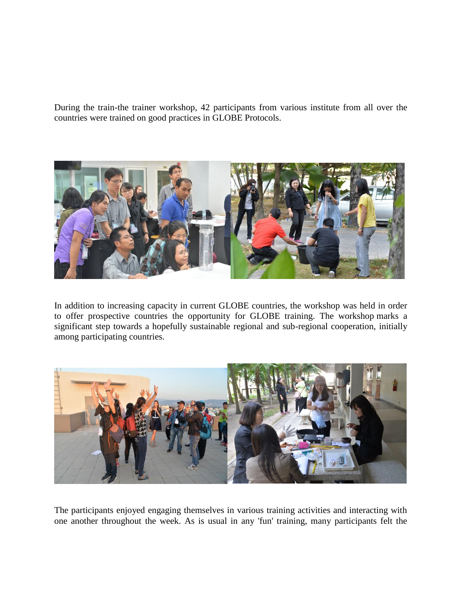During the train-the trainer workshop, 42 participants from various institute from all over the countries were trained on good practices in GLOBE Protocols.



In addition to increasing capacity in current GLOBE countries, the workshop was held in order to offer prospective countries the opportunity for GLOBE training. The workshop marks a significant step towards a hopefully sustainable regional and sub-regional cooperation, initially among participating countries.



The participants enjoyed engaging themselves in various training activities and interacting with one another throughout the week. As is usual in any 'fun' training, many participants felt the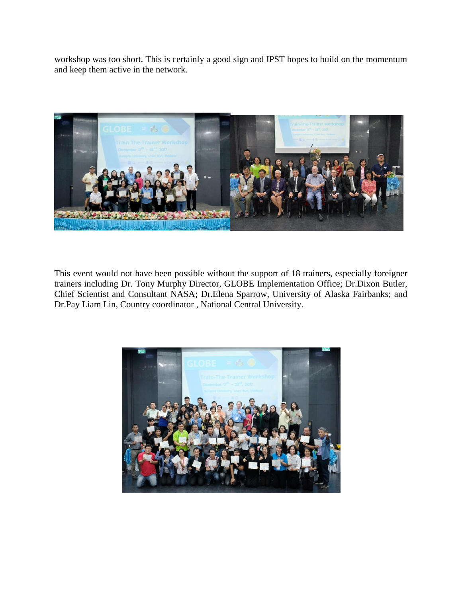workshop was too short. This is certainly a good sign and IPST hopes to build on the momentum and keep them active in the network.



This event would not have been possible without the support of 18 trainers, especially foreigner trainers including Dr. Tony Murphy Director, GLOBE Implementation Office; Dr.Dixon Butler, Chief Scientist and Consultant NASA; Dr.Elena Sparrow, University of Alaska Fairbanks; and Dr.Pay Liam Lin, Country coordinator , National Central University.